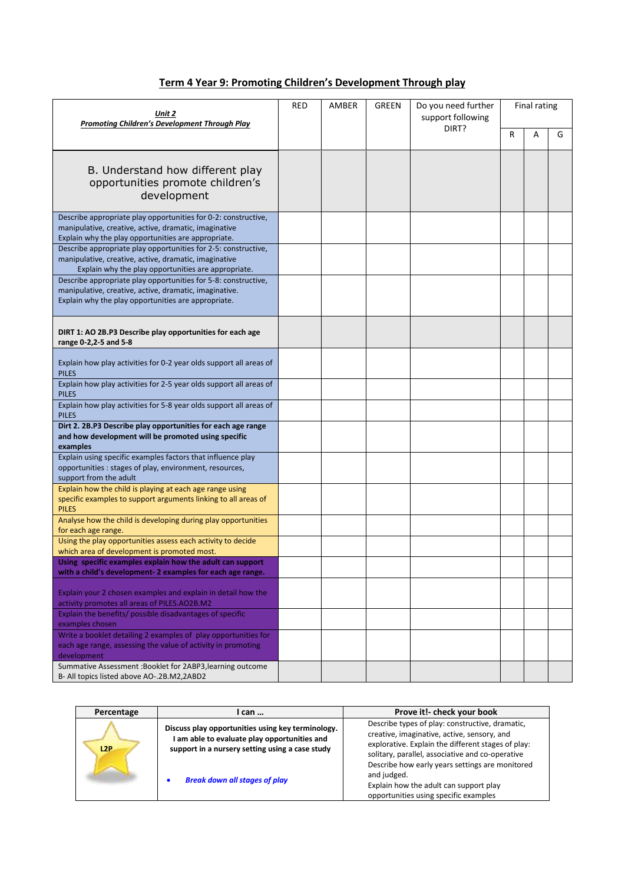| Term 4 Year 9: Promoting Children's Development Through play |  |
|--------------------------------------------------------------|--|
|                                                              |  |

| Unit 2<br><b>Promoting Children's Development Through Play</b>                                                                                                                  | RED | AMBER | GREEN | Do you need further<br>support following<br>DIRT? | Final rating |   |   |
|---------------------------------------------------------------------------------------------------------------------------------------------------------------------------------|-----|-------|-------|---------------------------------------------------|--------------|---|---|
|                                                                                                                                                                                 |     |       |       |                                                   | R            | A | G |
| B. Understand how different play<br>opportunities promote children's<br>development                                                                                             |     |       |       |                                                   |              |   |   |
| Describe appropriate play opportunities for 0-2: constructive,<br>manipulative, creative, active, dramatic, imaginative<br>Explain why the play opportunities are appropriate.  |     |       |       |                                                   |              |   |   |
| Describe appropriate play opportunities for 2-5: constructive,<br>manipulative, creative, active, dramatic, imaginative<br>Explain why the play opportunities are appropriate.  |     |       |       |                                                   |              |   |   |
| Describe appropriate play opportunities for 5-8: constructive,<br>manipulative, creative, active, dramatic, imaginative.<br>Explain why the play opportunities are appropriate. |     |       |       |                                                   |              |   |   |
| DIRT 1: AO 2B.P3 Describe play opportunities for each age<br>range 0-2,2-5 and 5-8                                                                                              |     |       |       |                                                   |              |   |   |
| Explain how play activities for 0-2 year olds support all areas of<br><b>PILES</b>                                                                                              |     |       |       |                                                   |              |   |   |
| Explain how play activities for 2-5 year olds support all areas of<br><b>PILES</b>                                                                                              |     |       |       |                                                   |              |   |   |
| Explain how play activities for 5-8 year olds support all areas of<br><b>PILES</b>                                                                                              |     |       |       |                                                   |              |   |   |
| Dirt 2. 2B.P3 Describe play opportunities for each age range<br>and how development will be promoted using specific<br>examples                                                 |     |       |       |                                                   |              |   |   |
| Explain using specific examples factors that influence play<br>opportunities : stages of play, environment, resources,<br>support from the adult                                |     |       |       |                                                   |              |   |   |
| Explain how the child is playing at each age range using<br>specific examples to support arguments linking to all areas of<br><b>PILES</b>                                      |     |       |       |                                                   |              |   |   |
| Analyse how the child is developing during play opportunities<br>for each age range.                                                                                            |     |       |       |                                                   |              |   |   |
| Using the play opportunities assess each activity to decide<br>which area of development is promoted most.                                                                      |     |       |       |                                                   |              |   |   |
| Using specific examples explain how the adult can support<br>with a child's development-2 examples for each age range.                                                          |     |       |       |                                                   |              |   |   |
| Explain your 2 chosen examples and explain in detail how the<br>activity promotes all areas of PILES.AO2B.M2                                                                    |     |       |       |                                                   |              |   |   |
| Explain the benefits/ possible disadvantages of specific<br>examples chosen                                                                                                     |     |       |       |                                                   |              |   |   |
| Write a booklet detailing 2 examples of play opportunities for<br>each age range, assessing the value of activity in promoting<br>development                                   |     |       |       |                                                   |              |   |   |
| Summative Assessment : Booklet for 2ABP3, learning outcome<br>B- All topics listed above AO-.2B.M2,2ABD2                                                                        |     |       |       |                                                   |              |   |   |

| Percentage | I can                                                                                                                                                | Prove it!- check your book                                                                                                                                                                               |
|------------|------------------------------------------------------------------------------------------------------------------------------------------------------|----------------------------------------------------------------------------------------------------------------------------------------------------------------------------------------------------------|
| L2P        | Discuss play opportunities using key terminology.<br>I am able to evaluate play opportunities and<br>support in a nursery setting using a case study | Describe types of play: constructive, dramatic,<br>creative, imaginative, active, sensory, and<br>explorative. Explain the different stages of play:<br>solitary, parallel, associative and co-operative |
|            | <b>Break down all stages of play</b>                                                                                                                 | Describe how early years settings are monitored<br>and judged.<br>Explain how the adult can support play<br>opportunities using specific examples                                                        |